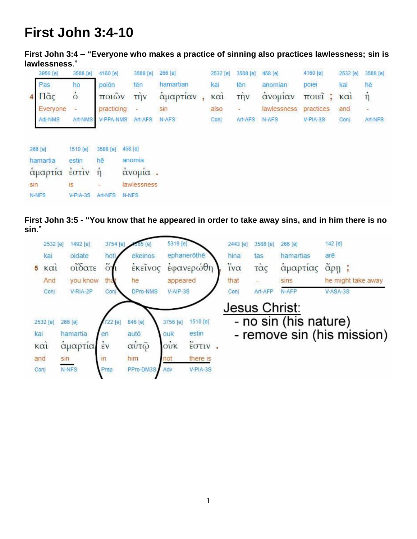## **First John 3:4-10**

**First John 3:4 – "Everyone who makes a practice of sinning also practices lawlessness; sin is lawlessness**."

|     | 3956 [e]                       | 3588 [e]                                | 4160 [e]                       | 3588 [e]                                    | 266 [e]   | 2532 [e]               | 3588 [e]             | 458 [e]     | 4160 [e]           | 2532 [e] | 3588 [e] |
|-----|--------------------------------|-----------------------------------------|--------------------------------|---------------------------------------------|-----------|------------------------|----------------------|-------------|--------------------|----------|----------|
|     | Pas                            | ho                                      | poiōn                          | tēn                                         | hamartian | kai                    | tēn                  | anomian     | poiei              | kai      | hē       |
| 4   | Πᾶς                            | $\dot{\circ}$                           | ποιών                          | $\overrightarrow{u}$                        | αμαρτιαν  | $K\alpha$ <sub>1</sub> | $\overrightarrow{r}$ | ανομίαν     | $\pi$ <sub>i</sub> | KCI      | $\eta$   |
|     | Everyone                       | ×                                       | practicing                     |                                             | sin       | also                   | 溢                    | lawlessness | practices          | and      | s        |
|     | Adj-NMS                        | Art-NMS                                 | V-PPA-NMS                      | Art-AFS                                     | N-AFS     | Conj                   | Art-AFS              | N-AFS       | V-PIA-3S           | Conj     | Art-NFS  |
| sin | 266 [e]<br>hamartia<br>αμαρτία | 1510 [e]<br>estin<br>EOTIV<br><b>is</b> | 3588 [e]<br>hē<br>$\eta$<br>÷. | 458 [e]<br>anomia<br>άνομία.<br>lawlessness |           |                        |                      |             |                    |          |          |
|     |                                |                                         |                                |                                             |           |                        |                      |             |                    |          |          |
|     | N-NFS                          | $V-PIA-3S$                              | Art-NFS                        | N-NFS                                       |           |                        |                      |             |                    |          |          |

**First John 3:5 - "You know that he appeared in order to take away sins, and in him there is no sin**."

|      | 2532 [e]          | 1492 [e] | 3754 [e]                |           | 5319 [e] |                          | 2443 [e]      | 3588 [e] | 266 [e]               | 142 [e]                    |
|------|-------------------|----------|-------------------------|-----------|----------|--------------------------|---------------|----------|-----------------------|----------------------------|
|      | kai               | oidate   | hoti                    | ekeinos   |          | ephaneröthē              | hina          | tas      | hamartias             | arē                        |
| 5    | $\kappa$ $\alpha$ | οΐδατε   | $^{\prime}$<br>$\sigma$ | έκεινος   |          | έφανερώθη                | ΐνα           | τὰς      | αμαρτίας              | $\check{\alpha}$ ρη;       |
|      | And               | you know | tha                     | he        | appeared |                          | that          |          | <b>SINS</b>           | he might take away         |
|      | Conj              | V-RIA-2P | Conj                    | DPro-NMS  | V-AIP-3S |                          | Conj          | Art-AFP  | N-AFP                 | V-ASA-3S                   |
|      | 2532 [e]          | 266 [e]  | 722 [e]                 | 846 [e]   | 3756 [e] | 1510 [e]                 | Jesus Christ: |          | - no sin (his nature) |                            |
| kai  |                   | hamartia | en                      | autō      | ouk      | estin                    |               |          |                       | - remove sin (his mission) |
|      | καί               | αμαρτία  | $\frac{1}{2}V$          | αὐτῶ      | OUK      | $\check{\epsilon}$ OTIV. |               |          |                       |                            |
| and  |                   | sin      | in                      | him       | not      | there is                 |               |          |                       |                            |
| Conj |                   | N-NFS    | Prep                    | PPro-DM3S | Adv      | $V-PIA-3S$               |               |          |                       |                            |
|      |                   |          |                         |           |          |                          |               |          |                       |                            |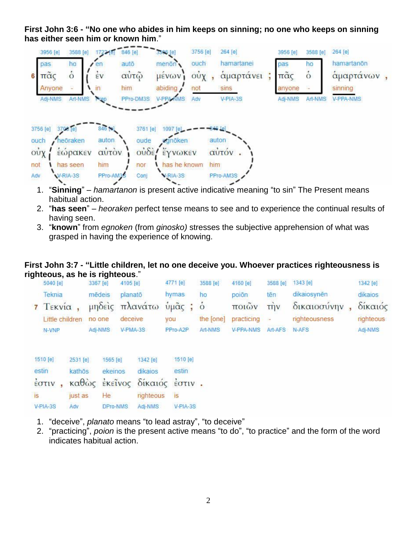**First John 3:6 - "No one who abides in him keeps on sinning; no one who keeps on sinning has either seen him or known him**."



- 1. "**Sinning**" *hamartanon* is present active indicative meaning "to sin" The Present means habitual action.
- 2. "**has seen**" *heoraken* perfect tense means to see and to experience the continual results of having seen.
- 3. "**known**" from *egnoken* (from *ginosko)* stresses the subjective apprehension of what was grasped in having the experience of knowing.

## **First John 3:7 - "Little children, let no one deceive you. Whoever practices righteousness is righteous, as he is righteous**."

| 5040 [e]                                  | 3367 [e]       | 4105 [e]                | 4771 [e] | 3588 [e]  | 4160 [e]                |      | 3588 [e] 1343 [e]          | 1342 [e]  |
|-------------------------------------------|----------------|-------------------------|----------|-----------|-------------------------|------|----------------------------|-----------|
| Teknia                                    | mēdeis planatō |                         | hymas    | ho        | poiōn                   | tēn. | dikaiosynēn                | dikaios   |
| $T$ $T$ $\varepsilon$ $K$ $v$ $i\alpha$ , |                | μηδεὶς πλανάτω ὑμᾶς ; ὁ |          |           | ποιῶν τὴν               |      | δικαιοσύνην, δίκαιός       |           |
| Little children                           | no one         | deceive                 | vou      | the [one] |                         |      | practicing - righteousness | righteous |
| N-VNP                                     | Adi-NMS        | $V-PMA-3S$              | PPro-A2P | Art-NMS   | V-PPA-NMS Art-AFS N-AFS |      |                            | Adi-NMS   |

| 1510 [e]   | 2531 [e] | 1565 [e] | 1342 [e]                            | 1510 [e]   |  |
|------------|----------|----------|-------------------------------------|------------|--|
| estin      | kathōs   | ekeinos  | dikaios                             | estin      |  |
|            |          |          | έστιν, καθώς έκεῖνος δίκαιός έστιν. |            |  |
| <b>is</b>  | just as  | He       | righteous                           | is         |  |
| $V-PIA-3S$ | Adv      | DPro-NMS | Adi-NMS                             | $V-PIA-3S$ |  |

- 1. "deceive", *planato* means "to lead astray", "to deceive"
- 2. "practicing", *poion* is the present active means "to do", "to practice" and the form of the word indicates habitual action.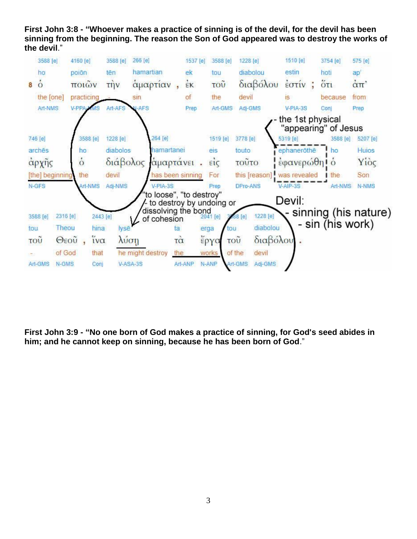**First John 3:8 - "Whoever makes a practice of sinning is of the devil, for the devil has been sinning from the beginning. The reason the Son of God appeared was to destroy the works of the devil**."



**First John 3:9 - "No one born of God makes a practice of sinning, for God's seed abides in him; and he cannot keep on sinning, because he has been born of God**."